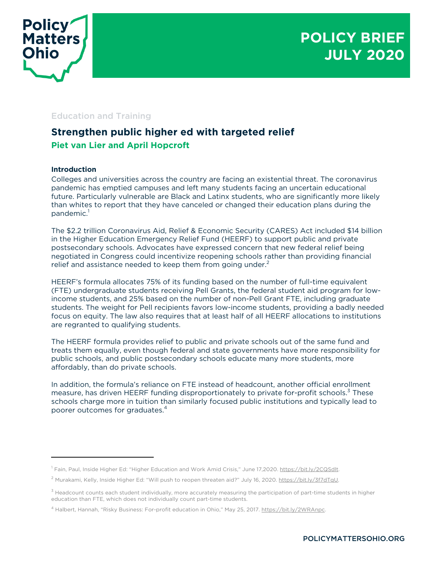

# Education and Training

# **Strengthen public higher ed with targeted relief Piet van Lier and April Hopcroft**

# **Introduction**

Colleges and universities across the country are facing an existential threat. The coronavirus pandemic has emptied campuses and left many students facing an uncertain educational future. Particularly vulnerable are Black and Latinx students, who are significantly more likely than whites to report that they have canceled or changed their education plans during the pandemic. 1

The \$2.2 trillion Coronavirus Aid, Relief & Economic Security (CARES) Act included \$14 billion in the Higher Education Emergency Relief Fund (HEERF) to support public and private postsecondary schools. Advocates have expressed concern that new federal relief being negotiated in Congress could incentivize reopening schools rather than providing financial relief and assistance needed to keep them from going under. $^{\text{2}}$ 

HEERF's formula allocates 75% of its funding based on the number of full-time equivalent (FTE) undergraduate students receiving Pell Grants, the federal student aid program for lowincome students, and 25% based on the number of non-Pell Grant FTE, including graduate students. The weight for Pell recipients favors low-income students, providing a badly needed focus on equity. The law also requires that at least half of all HEERF allocations to institutions are regranted to qualifying students.

The HEERF formula provides relief to public and private schools out of the same fund and treats them equally, even though federal and state governments have more responsibility for public schools, and public postsecondary schools educate many more students, more affordably, than do private schools.

In addition, the formula's reliance on FTE instead of headcount, another official enrollment measure, has driven HEERF funding disproportionately to private for-profit schools.<sup>3</sup> These schools charge more in tuition than similarly focused public institutions and typically lead to poorer outcomes for graduates. 4

<sup>&</sup>lt;sup>1</sup> Fain, Paul, Inside Higher Ed: "Higher Education and Work Amid Crisis," June 17,2020. https://bit.ly/2CQSdlt.

<sup>&</sup>lt;sup>2</sup> Murakami, Kelly, Inside Higher Ed: "Will push to reopen threaten aid?" July 16, 2020. https://bit.ly/3f7dTqU.

 $3$  Headcount counts each student individually, more accurately measuring the participation of part-time students in higher education than FTE, which does not individually count part-time students.

<sup>4</sup> Halbert, Hannah, "Risky Business: For-profit education in Ohio," May 25, 2017. https://bit.ly/2WRAnpc.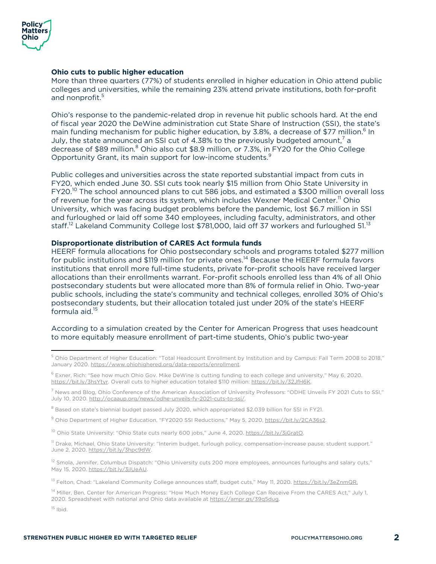

#### **Ohio cuts to public higher education**

More than three quarters (77%) of students enrolled in higher education in Ohio attend public colleges and universities, while the remaining 23% attend private institutions, both for-profit and nonprofit. 5

Ohio's response to the pandemic-related drop in revenue hit public schools hard. At the end of fiscal year 2020 the DeWine administration cut State Share of Instruction (SSI), the state's main funding mechanism for public higher education, by 3.8%, a decrease of \$77 million.<sup>6</sup> In July, the state announced an SSI cut of 4.38% to the previously budgeted amount,<sup>7</sup> a decrease of \$89 million.<sup>8</sup> Ohio also cut \$8.9 million, or 7.3%, in FY20 for the Ohio College Opportunity Grant, its main support for low-income students.<sup>9</sup>

Public colleges and universities across the state reported substantial impact from cuts in FY20, which ended June 30. SSI cuts took nearly \$15 million from Ohio State University in FY20.<sup>10</sup> The school announced plans to cut 586 jobs, and estimated a \$300 million overall loss of revenue for the year across its system, which includes Wexner Medical Center.<sup>11</sup> Ohio University, which was facing budget problems before the pandemic, lost \$6.7 million in SSI and furloughed or laid off some 340 employees, including faculty, administrators, and other staff.<sup>12</sup> Lakeland Community College lost \$781,000, laid off 37 workers and furloughed 51.<sup>13</sup>

# **Disproportionate distribution of CARES Act formula funds**

HEERF formula allocations for Ohio postsecondary schools and programs totaled \$277 million for public institutions and \$119 million for private ones.<sup>14</sup> Because the HEERF formula favors institutions that enroll more full-time students, private for-profit schools have received larger allocations than their enrollments warrant. For-profit schools enrolled less than 4% of all Ohio postsecondary students but were allocated more than 8% of formula relief in Ohio. Two-year public schools, including the state's community and technical colleges, enrolled 30% of Ohio's postsecondary students, but their allocation totaled just under 20% of the state's HEERF formula aid.<sup>15</sup>

#### According to a simulation created by the Center for American Progress that uses headcount to more equitably measure enrollment of part-time students, Ohio's public two-year

<sup>10</sup> Ohio State University: "Ohio State cuts nearly 600 jobs," June 4, 2020. https://bit.ly/3jGratO.

<sup>11</sup> Drake, Michael, Ohio State University: "Interim budget, furlough policy, compensation-increase pause, student support." June 2, 2020. https://bit.ly/3hpc9dW.

 $12$  Smola, Jennifer, Columbus Dispatch: "Ohio University cuts 200 more employees, announces furloughs and salary cuts," May 15, 2020. https://bit.ly/3jIUeAU.

<sup>13</sup> Felton, Chad: "Lakeland Community College announces staff, budget cuts," May 11, 2020. https://bit.ly/3eZnmQR.

<sup>14</sup> Miller, Ben, Center for American Progress: "How Much Money Each College Can Receive From the CARES Act," July 1, 2020. Spreadsheet with national and Ohio data available at https://ampr.gs/39q5dug.

 $15$  Ibid.

<sup>5</sup> Ohio Department of Higher Education: "Total Headcount Enrollment by Institution and by Campus: Fall Term 2008 to 2018," January 2020. https://www.ohiohighered.org/data-reports/enrollment.

<sup>6</sup> Exner, Rich: "See how much Ohio Gov. Mike DeWine is cutting funding to each college and university," May 6, 2020. https://bit.ly/3hsYtyr. Overall cuts to higher education totaled \$110 million: https://bit.ly/32JfH6K.

<sup>&</sup>lt;sup>7</sup> News and Blog, Ohio Conference of the American Association of University Professors: "ODHE Unveils FY 2021 Cuts to SSI," July 10, 2020. http://ocaaup.org/news/odhe-unveils-fy-2021-cuts-to-ssi/.

<sup>&</sup>lt;sup>8</sup> Based on state's biennial budget passed July 2020, which appropriated \$2.039 billion for SSI in FY21.

<sup>&</sup>lt;sup>9</sup> Ohio Department of Higher Education, "FY2020 SSI Reductions," May 5, 2020, https://bit.ly/2CA36s2.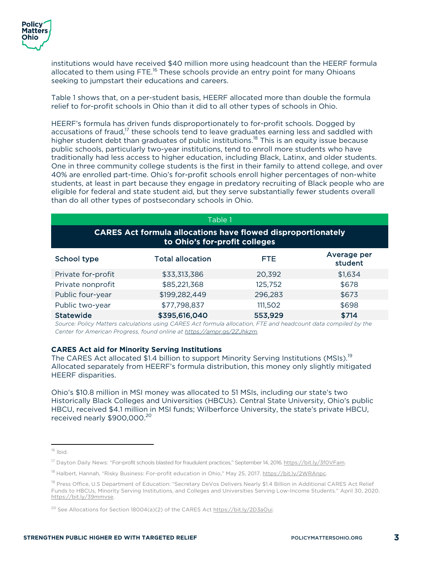institutions would have received \$40 million more using headcount than the HEERF formula allocated to them using FTE.<sup>16</sup> These schools provide an entry point for many Ohioans seeking to jumpstart their educations and careers.

Table 1 shows that, on a per-student basis, HEERF allocated more than double the formula relief to for-profit schools in Ohio than it did to all other types of schools in Ohio.

HEERF's formula has driven funds disproportionately to for-profit schools. Dogged by accusations of fraud,<sup>17</sup> these schools tend to leave graduates earning less and saddled with higher student debt than graduates of public institutions.<sup>18</sup> This is an equity issue because public schools, particularly two-year institutions, tend to enroll more students who have traditionally had less access to higher education, including Black, Latinx, and older students. One in three community college students is the first in their family to attend college, and over 40% are enrolled part-time. Ohio's for-profit schools enroll higher percentages of non-white students, at least in part because they engage in predatory recruiting of Black people who are eligible for federal and state student aid, but they serve substantially fewer students overall than do all other types of postsecondary schools in Ohio.

| Table 1                                                                                              |                         |         |                        |
|------------------------------------------------------------------------------------------------------|-------------------------|---------|------------------------|
| <b>CARES Act formula allocations have flowed disproportionately</b><br>to Ohio's for-profit colleges |                         |         |                        |
| School type                                                                                          | <b>Total allocation</b> | FTE.    | Average per<br>student |
| Private for-profit                                                                                   | \$33,313,386            | 20,392  | \$1,634                |
| Private nonprofit                                                                                    | \$85,221,368            | 125,752 | \$678                  |
| Public four-year                                                                                     | \$199,282,449           | 296,283 | \$673                  |
| Public two-year                                                                                      | \$77,798,837            | 111,502 | \$698                  |
| <b>Statewide</b>                                                                                     | \$395,616,040           | 553,929 | \$714                  |

*Source: Policy Matters calculations using CARES Act formula allocation, FTE and headcount data compiled by the Center for American Progress, found online at https://ampr.gs/2ZJhkzm.*

#### **CARES Act aid for Minority Serving Institutions**

The CARES Act allocated \$1.4 billion to support Minority Serving Institutions (MSIs).<sup>19</sup> Allocated separately from HEERF's formula distribution, this money only slightly mitigated HEERF disparities.

Ohio's \$10.8 million in MSI money was allocated to 51 MSIs, including our state's two Historically Black Colleges and Universities (HBCUs). Central State University, Ohio's public HBCU, received \$4.1 million in MSI funds; Wilberforce University, the state's private HBCU, received nearly \$900,000.<sup>20</sup>

<sup>16</sup> Ibid.

<sup>&</sup>lt;sup>17</sup> Dayton Daily News: "For-profit schools blasted for fraudulent practices," September 14, 2016. https://bit.ly/3f0VFam.

<sup>&</sup>lt;sup>18</sup> Halbert, Hannah, "Risky Business: For-profit education in Ohio," May 25, 2017. https://bit.ly/2WRAnpc.

<sup>&</sup>lt;sup>19</sup> Press Office, U.S Department of Education: "Secretary DeVos Delivers Nearly \$1.4 Billion in Additional CARES Act Relief Funds to HBCUs, Minority Serving Institutions, and Colleges and Universities Serving Low-Income Students." April 30, 2020. https://bit.ly/39mmvse.

<sup>&</sup>lt;sup>20</sup> See Allocations for Section 18004(a)(2) of the CARES Act https://bit.ly/2D3aOui.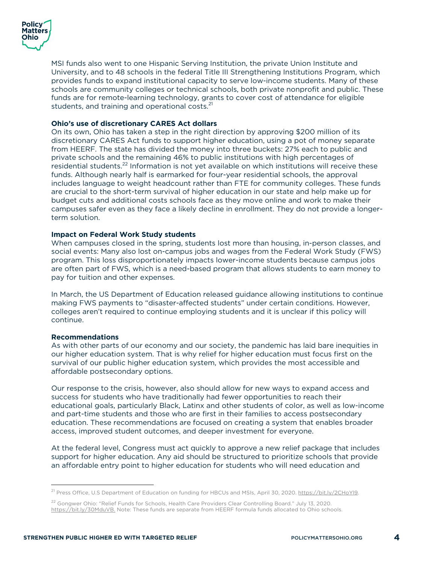

MSI funds also went to one Hispanic Serving Institution, the private Union Institute and University, and to 48 schools in the federal Title III Strengthening Institutions Program, which provides funds to expand institutional capacity to serve low-income students. Many of these schools are community colleges or technical schools, both private nonprofit and public. These funds are for remote-learning technology, grants to cover cost of attendance for eligible students, and training and operational costs.<sup>21</sup>

# **Ohio's use of discretionary CARES Act dollars**

On its own, Ohio has taken a step in the right direction by approving \$200 million of its discretionary CARES Act funds to support higher education, using a pot of money separate from HEERF. The state has divided the money into three buckets: 27% each to public and private schools and the remaining 46% to public institutions with high percentages of residential students.<sup>22</sup> Information is not yet available on which institutions will receive these funds. Although nearly half is earmarked for four-year residential schools, the approval includes language to weight headcount rather than FTE for community colleges. These funds are crucial to the short-term survival of higher education in our state and help make up for budget cuts and additional costs schools face as they move online and work to make their campuses safer even as they face a likely decline in enrollment. They do not provide a longerterm solution.

#### **Impact on Federal Work Study students**

When campuses closed in the spring, students lost more than housing, in-person classes, and social events: Many also lost on-campus jobs and wages from the Federal Work Study (FWS) program. This loss disproportionately impacts lower-income students because campus jobs are often part of FWS, which is a need-based program that allows students to earn money to pay for tuition and other expenses.

In March, the US Department of Education released guidance allowing institutions to continue making FWS payments to "disaster-affected students" under certain conditions. However, colleges aren't required to continue employing students and it is unclear if this policy will continue.

#### **Recommendations**

As with other parts of our economy and our society, the pandemic has laid bare inequities in our higher education system. That is why relief for higher education must focus first on the survival of our public higher education system, which provides the most accessible and affordable postsecondary options.

Our response to the crisis, however, also should allow for new ways to expand access and success for students who have traditionally had fewer opportunities to reach their educational goals, particularly Black, Latinx and other students of color, as well as low-income and part-time students and those who are first in their families to access postsecondary education. These recommendations are focused on creating a system that enables broader access, improved student outcomes, and deeper investment for everyone.

At the federal level, Congress must act quickly to approve a new relief package that includes support for higher education. Any aid should be structured to prioritize schools that provide an affordable entry point to higher education for students who will need education and

<sup>&</sup>lt;sup>21</sup> Press Office, U.S Department of Education on funding for HBCUs and MSIs, April 30, 2020. https://bit.ly/2CHoYl9.

<sup>&</sup>lt;sup>22</sup> Gongwer Ohio: "Relief Funds for Schools, Health Care Providers Clear Controlling Board." July 13, 2020. https://bit.ly/30MduVB. Note: These funds are separate from HEERF formula funds allocated to Ohio schools.